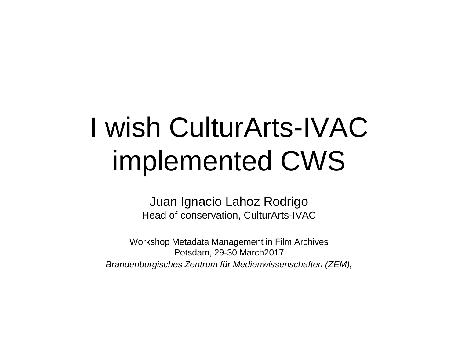# I wish CulturArts-IVAC implemented CWS

Juan Ignacio Lahoz Rodrigo Head of conservation, CulturArts-IVAC

Workshop Metadata Management in Film Archives Potsdam, 29-30 March2017 *Brandenburgisches Zentrum für Medienwissenschaften (ZEM),*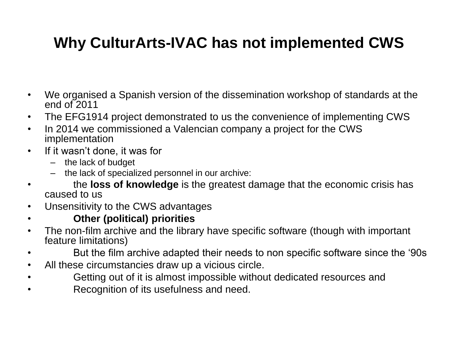## **Why CulturArts-IVAC has not implemented CWS**

- We organised a Spanish version of the dissemination workshop of standards at the end of 2011
- The EFG1914 project demonstrated to us the convenience of implementing CWS
- In 2014 we commissioned a Valencian company a project for the CWS implementation
- If it wasn't done, it was for
	- the lack of budget
	- the lack of specialized personnel in our archive:
- the **loss of knowledge** is the greatest damage that the economic crisis has caused to us
- Unsensitivity to the CWS advantages
- **Other (political) priorities**
- The non-film archive and the library have specific software (though with important feature limitations)
- But the film archive adapted their needs to non specific software since the '90s
- All these circumstancies draw up a vicious circle.
- Getting out of it is almost impossible without dedicated resources and
- Recognition of its usefulness and need.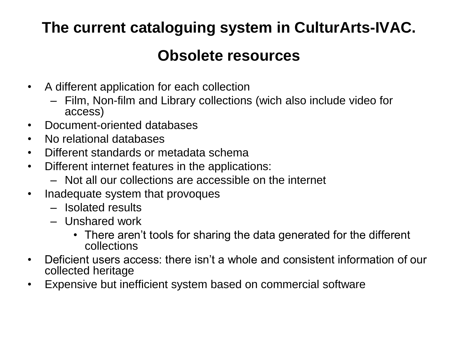#### **The current cataloguing system in CulturArts-IVAC.**

#### **Obsolete resources**

- A different application for each collection
	- Film, Non-film and Library collections (wich also include video for access)
- Document-oriented databases
- No relational databases
- Different standards or metadata schema
- Different internet features in the applications:
	- Not all our collections are accessible on the internet
- Inadequate system that provoques
	- Isolated results
	- Unshared work
		- There aren't tools for sharing the data generated for the different collections
- Deficient users access: there isn't a whole and consistent information of our collected heritage
- Expensive but inefficient system based on commercial software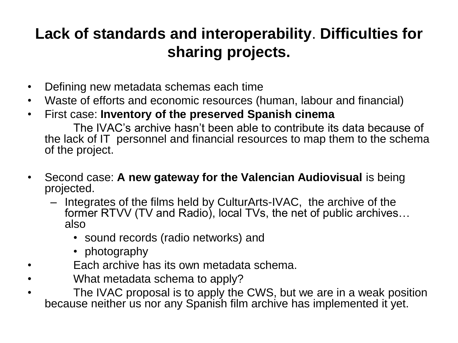### **Lack of standards and interoperability**. **Difficulties for sharing projects.**

- Defining new metadata schemas each time
- Waste of efforts and economic resources (human, labour and financial)
- First case: **Inventory of the preserved Spanish cinema**

The IVAC's archive hasn't been able to contribute its data because of the lack of IT personnel and financial resources to map them to the schema of the project.

- Second case: **A new gateway for the Valencian Audiovisual** is being projected.
	- Integrates of the films held by CulturArts-IVAC, the archive of the former RTVV (TV and Radio), local TVs, the net of public archives… also
		- sound records (radio networks) and
		- photography
- Each archive has its own metadata schema.
- What metadata schema to apply?
- The IVAC proposal is to apply the CWS, but we are in a weak position because neither us nor any Spanish film archive has implemented it yet.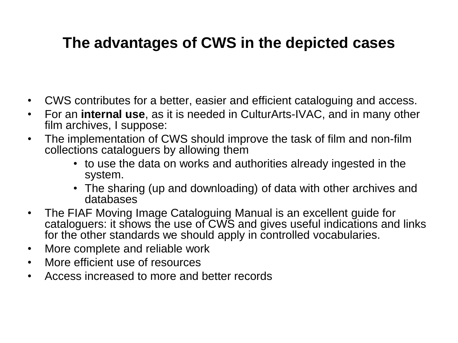#### **The advantages of CWS in the depicted cases**

- CWS contributes for a better, easier and efficient cataloguing and access.
- For an **internal use**, as it is needed in CulturArts-IVAC, and in many other film archives, I suppose:
- The implementation of CWS should improve the task of film and non-film collections cataloguers by allowing them
	- to use the data on works and authorities already ingested in the system.
	- The sharing (up and downloading) of data with other archives and databases
- The FIAF Moving Image Cataloguing Manual is an excellent guide for cataloguers: it shows the use of CWS and gives useful indications and links for the other standards we should apply in controlled vocabularies.
- More complete and reliable work
- More efficient use of resources
- Access increased to more and better records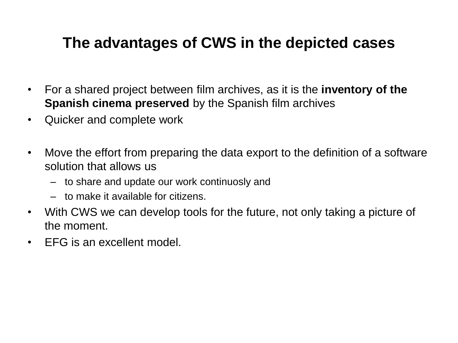#### **The advantages of CWS in the depicted cases**

- For a shared project between film archives, as it is the **inventory of the Spanish cinema preserved** by the Spanish film archives
- Quicker and complete work
- Move the effort from preparing the data export to the definition of a software solution that allows us
	- to share and update our work continuosly and
	- to make it available for citizens.
- With CWS we can develop tools for the future, not only taking a picture of the moment.
- EFG is an excellent model.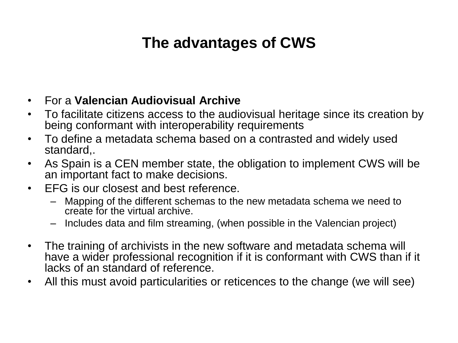### **The advantages of CWS**

- For a **Valencian Audiovisual Archive**
- To facilitate citizens access to the audiovisual heritage since its creation by being conformant with interoperability requirements
- To define a metadata schema based on a contrasted and widely used standard,.
- As Spain is a CEN member state, the obligation to implement CWS will be an important fact to make decisions.
- EFG is our closest and best reference.
	- Mapping of the different schemas to the new metadata schema we need to create for the virtual archive.
	- Includes data and film streaming, (when possible in the Valencian project)
- The training of archivists in the new software and metadata schema will have a wider professional recognition if it is conformant with CWS than if it lacks of an standard of reference.
- All this must avoid particularities or reticences to the change (we will see)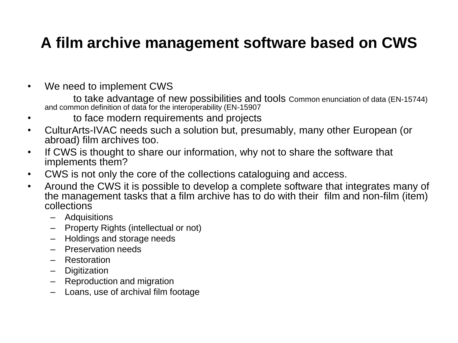#### **A film archive management software based on CWS**

• We need to implement CWS

to take advantage of new possibilities and tools Common enunciation of data (EN-15744) and common definition of data for the interoperability (EN-15907

- to face modern requirements and projects
- CulturArts-IVAC needs such a solution but, presumably, many other European (or abroad) film archives too.
- If CWS is thought to share our information, why not to share the software that implements them?
- CWS is not only the core of the collections cataloguing and access.
- Around the CWS it is possible to develop a complete software that integrates many of the management tasks that a film archive has to do with their film and non-film (item) collections
	- **Adquisitions**
	- Property Rights (intellectual or not)
	- Holdings and storage needs
	- Preservation needs
	- Restoration
	- Digitization
	- Reproduction and migration
	- Loans, use of archival film footage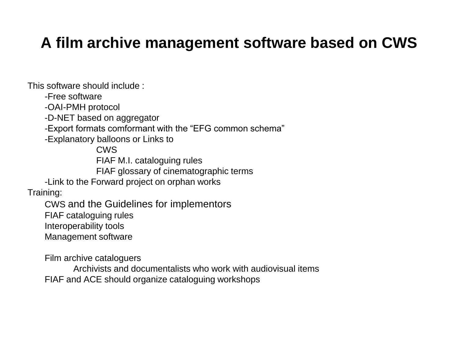#### **A film archive management software based on CWS**

This software should include :

-Free software

-OAI-PMH protocol

-D-NET based on aggregator

-Export formats comformant with the "EFG common schema"

-Explanatory balloons or Links to

CWS FIAF M.I. cataloguing rules

FIAF glossary of cinematographic terms

-Link to the Forward project on orphan works

Training:

CWS and the Guidelines for implementors FIAF cataloguing rules Interoperability tools

Management software

Film archive cataloguers

Archivists and documentalists who work with audiovisual items FIAF and ACE should organize cataloguing workshops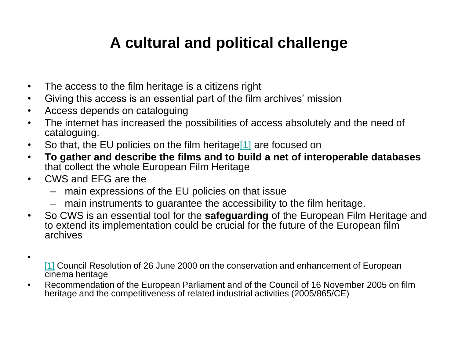#### **A cultural and political challenge**

- The access to the film heritage is a citizens right
- Giving this access is an essential part of the film archives' mission
- Access depends on cataloguing
- The internet has increased the possibilities of access absolutely and the need of cataloguing.
- So that, the EU policies on the film heritage<sup>[1]</sup> are focused on
- **To gather and describe the films and to build a net of interoperable databases** that collect the whole European Film Heritage
- CWS and EFG are the

•

- main expressions of the EU policies on that issue
- main instruments to guarantee the accessibility to the film heritage.
- So CWS is an essential tool for the **safeguarding** of the European Film Heritage and to extend its implementation could be crucial for the future of the European film archives
- [1] Council Resolution of 26 June 2000 on the conservation and enhancement of European cinema heritage
- Recommendation of the European Parliament and of the Council of 16 November 2005 on film heritage and the competitiveness of related industrial activities (2005/865/CE)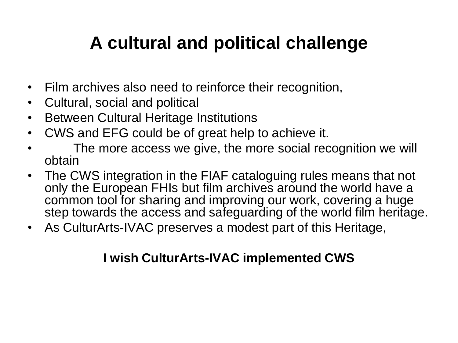## **A cultural and political challenge**

- Film archives also need to reinforce their recognition,
- Cultural, social and political
- Between Cultural Heritage Institutions
- CWS and EFG could be of great help to achieve it.
- The more access we give, the more social recognition we will obtain
- The CWS integration in the FIAF cataloguing rules means that not only the European FHIs but film archives around the world have a common tool for sharing and improving our work, covering a huge step towards the access and safeguarding of the world film heritage.
- As CulturArts-IVAC preserves a modest part of this Heritage,

#### **I wish CulturArts-IVAC implemented CWS**